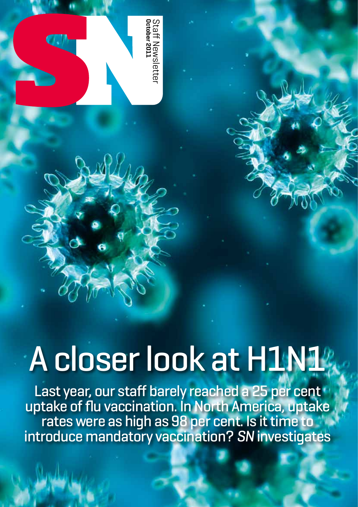

# A closer look at H1N1%

Last year, our staff barely reached a 25 per cent uptake of flu vaccination. In North America, uptake rates were as high as 98 per cent. Is it time to introduce mandatory vaccination? *SN* investigates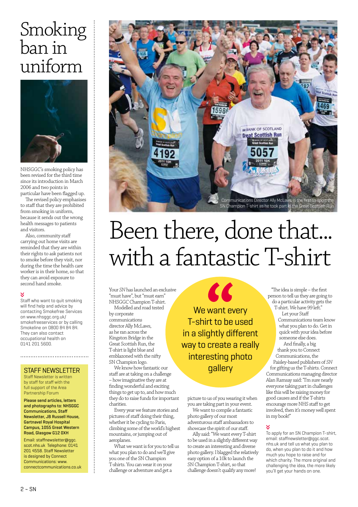### Smoking ban in uniform



NHSGGC's smoking policy has been revised for the third time since its introduction in March 2006 and two points in particular have been flagged up.

The revised policy emphasises to staff that they are prohibited from smoking in uniform, because it sends out the wrong health messages to patients and visitors.

Also, community staff carrying out home visits are reminded that they are within their rights to ask patients not to smoke before they visit, nor during the time the health care worker is in their home, so that they can avoid exposure to second hand smoke.

### Ń

Staff who want to quit smoking will find help and advice by contacting Smokefree Services on www.nhsggc.org.uk/ smokefreeservices or by calling Smokeline on 0800 84 84 84. They can also contact occupational health on 0141 201 5600.

### STAFF NEWSLETTER

Staff Newsletter is written by staff for staff with the full support of the Area Partnership Forum

Please send articles, letters and photographs to: NHSGGC Communications, Staff Newsletter, JB Russell House, Gartnavel Royal Hospital Campus, 1055 Great Western Road, Glasgow G12 0XH

Email: staffnewsletter@ggc. scot.nhs.uk Telephone: 0141 201 4558. Staff Newsletter is designed by Connect Communications: www. connectcommunications.co.uk



### Been there, done that... with a fantastic T-shirt

Your *SN* has launched an exclusive "must have", but "must earn" NHSGGC Champion T-shirt. Modelled and road tested

by corporate communications director Ally McLaws, as he ran across the Kingston Bridge in the Great Scottish Run, the T-shirt is light blue and emblazoned with the nifty SN Champion logo.

We know how fantastic our staff are at taking on a challenge – how imaginative they are at finding wonderful and exciting things to get up to, and how much they do to raise funds for important charities.

Every year we feature stories and pictures of staff doing their thing, whether it be cycling to Paris, climbing some of the world's highest mountains, or jumping out of aeroplanes.

What we want is for you to tell us what you plan to do and we'll give you one of the SN Champion T-shirts. You can wear it on your challenge or adventure and get a

We want every T-shirt to be used in a slightly different way to create a really interesting photo gallery

KK

picture to us of you wearing it when you are taking part in your event.

We want to compile a fantastic photo gallery of our most adventurous staff ambassadors to showcase the spirit of our staff.

Ally said: "We want every T-shirt to be used in a slightly different way to create an interesting and diverse photo gallery. I blagged the relatively easy option of a 10k to launch the SN Champion T-shirt, so that challenge doesn't qualify any more!

"The idea is simple – the first person to tell us they are going to do a particular activity gets the T-shirt. We have 99 left."

Let your Staff Communications team know what you plan to do. Get in quick with your idea before someone else does.

And finally, a big thank you to Connect Communications, the Paisley-based publishers of *SN* for gifting us the T-shirts. Connect Communications managing director Alan Ramsay said: "I'm sure nearly everyone taking part in challenges like this will be raising money for good causes and if the T-shirts encourage more NHS staff to get involved, then it's money well spent in my book!"

To apply for an SN Champion T-shirt, email: staffnewsletter@ggc.scot. nhs.uk and tell us what you plan to do, when you plan to do it and how much you hope to raise and for which charity. The more original and challenging the idea, the more likely you'll get your hands on one.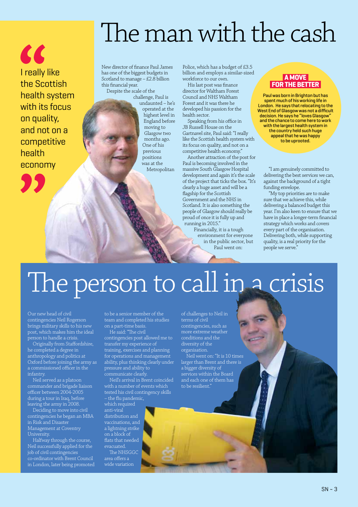" I really like the Scottish health system with its focus on quality, and not on a competitive health economy



New director of finance Paul James has one of the biggest budgets in Scotland to manage – £2.8 billion this financial year. Despite the scale of the

challenge, Paul is undaunted – he's operated at the highest level in England before moving to Glasgow two months ago. One of his previous positions was at the Metropolitan

Police, which has a budget of £3.5 billion and employs a similar-sized workforce to our own.

His last post was finance director for Waltham Forest Council and NHS Waltham Forest and it was there he developed his passion for the health sector.

Speaking from his office in JB Russell House on the Gartnavel site, Paul said: "I really like the Scottish health system with its focus on quality, and not on a competitive health economy."

Another attraction of the post for Paul is becoming involved in the massive South Glasgow Hospital development and again it's the scale of the project that ticks the box. "It's clearly a huge asset and will be a flagship for the Scottish Government and the NHS in Scotland. It is also something the people of Glasgow should really be proud of once it is fully up and running in 2015."

> Financially, it is a tough environment for everyone in the public sector, but Paul went on:

### **A move FOR THE BETTER**

Paul was born in Brighton but has spent much of his working life in London. He says that relocating to the West End of Glasgow was not a difficult decision. He says he "loves Glasgow and the chance to come here to work with the largest health system in the country held such huge appeal that he was happy to be uprooted.

"I am genuinely committed to delivering the best services we can, against the background of a tight funding envelope.

"My top priorities are to make sure that we achieve this, while delivering a balanced budget this year. I'm also keen to ensure that we have in place a longer-term financial strategy which works and covers every part of the organisation. Delivering both, while supporting quality, is a real priority for the people we serve."

### The person to call in a crisis

Our new head of civil contingencies Neil Rogerson brings military skills to his new post, which makes him the ideal person to handle a crisis.

Originally from Staffordshire, he completed a degree in anthropology and politics at Oxford before joining the army as a commissioned officer in the infantry.

Neil served as a platoon commander and brigade liaison officer between 2004-2005 during a tour in Iraq, before leaving the army in 2008.

Deciding to move into civil contingencies he began an MBA in Risk and Disaster Management at Coventry University.

Halfway through the course, Neil successfully applied for the job of civil contingencies co-ordinator with Brent Council in London, later being promoted to be a senior member of the team and completed his studies on a part-time basis.

He said: "The civil contingencies post allowed me to transfer my experience of training, exercises and planning for operations and management ability, plus thinking clearly under pressure and ability to communicate clearly.

Neil's arrival in Brent coincided with a number of events which tested his civil contingency skills – the flu pandemic, which required anti-viral distribution and

vaccinations, and a lightning strike on a block of flats that needed evacuated.

The NHSGGC area offers a wide variation

of challenges to Neil in terms of civil contingencies, such as more extreme weather conditions and the diversity of the organisation.

Neil went on: "It is 10 times larger than Brent and there is a bigger diversity of services within the Board and each one of them has to be resilient.'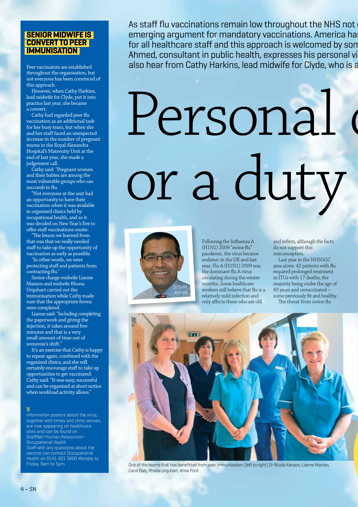### **Senior midwife is convert to peer immunisation**

Peer vaccinators are established throughout the organisation, but not everyone has been convinced of this approach.

However, when Cathy Harkins, lead midwife for Clyde, put it into practice last year, she became a convert.

Cathy had regarded peer flu vaccination as an additional task for her busy team, but when she and her staff faced an unexpected increase in the number of pregnant mums in the Royal Alexandra Hospital's Maternity Unit at the end of last year, she made a judgement call.

Cathy said: "Pregnant women and their babies are among the most vulnerable groups who can succumb to flu.

"Not everyone at the unit had an opportunity to have their vaccination when it was available in organised clinics held by occupational health, and so it was decided on New Year's Eve to offer staff vaccinations onsite.

"The lesson we learned from that was that we really needed staff to take up the opportunity of vaccination as early as possible.

"In other words, we were protecting staff and patients from contracting flu."

Senior charge midwife Lianne Manion and midwife Rhona Urquhart carried out the immunisation while Cathy made sure that the appropriate forms were completed.

Lianne said: "Including completing the paperwork and giving the injection, it takes around five minutes and that is a very small amount of time out of someone's shift."

It's an exercise that Cathy is happy to repeat again, combined with the organised clinics, and she will certainly encourage staff to take up opportunities to get vaccinated. Cathy said: "It was easy, successful and can be organised at short notice when workload activity allows."

### N,

Information posters about the virus, together with times and clinic venues, are now appearing on healthcare sites and can be found on StaffNet>Human Resources> Occupational Health Staff with any questions about the vaccine can contact Occupational Health on 0141 201 5600 Monday to Friday, 9am to 5pm.

As staff flu vaccinations remain low throughout the NHS not emerging argument for mandatory vaccinations. America ha for all healthcare staff and this approach is welcomed by son Ahmed, consultant in public health, expresses his personal views also hear from Cathy Harkins, lead midwife for Clyde, who is a

# Personal d or a duty



Following the Influenza A (H1N1) 2009 "swine flu" pandemic, the virus became endemic in the UK and last year, Flu A (H1N1) 2009 was the dominant flu A virus circulating during the winter months. Some healthcare workers still believe that flu is a relatively mild infection and only affects those who are old

and infirm, although the facts do not support this misconception.

Last year in the NHSGGC area alone, 42 patients with flu required prolonged treatment in ITUs with 17 deaths, the majority being under the age of 60 years and unvaccinated – some previously fit and healthy. The threat from swine flu



One of the teams that has benefitted from peer immunisation: (left to right) Dr Nicola Kenyon, Lianne Manion, Carol Daly, Rhona Urquhart, Anne Ford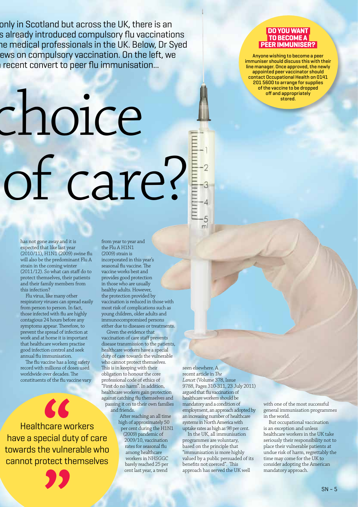only in Scotland but across the UK, there is an s already introduced compulsory flu vaccinations he medical professionals in the UK. Below, Dr Syed ews on compulsory vaccination. On the left, we recent convert to peer flu immunisation...

# choice of care?

**DO YOUWANT TO BECOMEA PEERIMMUNISER?**

Anyone wishing to become a peer immuniser should discuss this with their line manager. Once approved, the newly appointed peer vaccinator should contact Occupational Health on 0141 201 5600 to arrange for supplies of the vaccine to be dropped off and appropriately stored.

has not gone away and it is expected that like last year (2010/11), H1N1 (2009) swine flu will also be the predominant Flu A strain in the coming winter (2011/12). So what can staff do to protect themselves, their patients and their family members from this infection?

Flu virus, like many other respiratory viruses can spread easily from person to person. In fact, those infected with flu are highly contagious 24 hours before any symptoms appear. Therefore, to prevent the spread of infection at work and at home it is important that healthcare workers practise good infection control and seek annual flu immunisation.

The flu vaccine has a long safety record with millions of doses used worldwide over decades. The constituents of the flu vaccine vary

Healthcare workers have a special duty of care towards the vulnerable who cannot protect themselves

from year to year and the Flu A H1N1 (2009) strain is incorporated in this year's seasonal flu vaccine. The vaccine works best and provides good protection in those who are usually healthy adults. However, the protection provided by vaccination is reduced in those with most risk of complications such as young children, older adults and immunocompromised persons either due to diseases or treatments.

Given the evidence that vaccination of care staff prevents disease transmission to the patients, healthcare workers have a special duty of care towards the vulnerable who cannot protect themselves. This is in keeping with their obligation to honour the core professional code of ethics of "First do no harm". In addition, healthcare workers gain protection against catching flu themselves and passing it on to their own families and friends.

After reaching an all time high of approximately 50 per cent during the H1N1 (2009) pandemic of 2009/10, vaccination rates for seasonal flu among healthcare workers in NHSGGC barely reached 25 per cent last year, a trend

seen elsewhere. A recent article in *The Lancet* (Volume 378, Issue 9788, Pages 310-311, 23 July 2011) argued that flu vaccination of healthcare workers should be mandatory and a condition of employment, an approach adopted by an increasing number of healthcare systems in North America with uptake rates as high as 98 per cent.

In the UK, all immunisation programmes are voluntary, based on the principle that "immunisation is more highly valued by a public persuaded of its benefits not coerced". This approach has served the UK well

with one of the most successful general immunisation programmes in the world.

But occupational vaccination is an exception and unless healthcare workers in the UK take seriously their responsibility not to place their vulnerable patients at undue risk of harm, regrettably the time may come for the UK to consider adopting the American mandatory approach.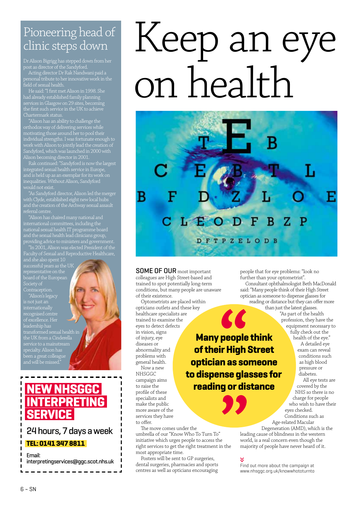### Pioneering head of clinic steps down

Dr Alison Bigrigg has stepped down from her post as director of the Sandyford.

Acting director Dr Rak Nandwani paid a personal tribute to her innovative work in the<br>field of sexual bookstone work in the field of sexual health.

He said: "I first met Alison in 1998. She had already established family planning services in Glasgow on 29 sites, becoming the first such service in the UK to achieve Chartermark status.

"Alison has an ability to challenge the orthodox way of delivering services while motivating those around her to pool their individual strengths. I was fortunate enough to work with Alison to jointly lead the creation of Sandyford, which was launched in 2000 with Alison becoming director in 2001.

Rak continued: "Sandyford is now the largest integrated sexual health service in Europe, and is held up as an exemplar for its work on inequalities. Without Alison, Sandyford

"As Sandyford director, Alison led the merger with Clyde, established eight new local hubs referral centre.

"Alison has chaired many national and international committees, including the national sexual health IT programme board and the sexual health lead clinicians group, providing advice to ministers and government. "In 2001, Alison was elected President of the

Faculty of Sexual and Reproductive Healthcare,

successful years as the UK board of the European Society of Contraception.

"Alison's legacy internationally recognised centre of excellence. Her transformed sexual health in the UK from a Cinderella been a great colleague and will be missed."

### **New NHSGGC Interpreting Service**

### 24 hours, 7 days a week **Tel: 0141 347 8811**

Email: interpretingservices@ggc.scot.nhs.uk

# Keep an eye on health



**Many people think** 

**SOME OF OUR** most important colleagues are High Street-based and trained to spot potentially long-term conditions, but many people are unaware of their existence.

Optometrists are placed within opticians outlets and these key healthcare specialists are trained to examine the eyes to detect defects in vision, signs of injury, eye diseases or abnormality and problems with general health. Now a new **NHSGGC** campaign aims **of their High Street optician as someone to dispense glasses for reading or distance**

to raise the profile of these specialists and make the public more aware of the services they have to offer.

The move comes under the umbrella of our "Know Who To Turn To" initiative which urges people to access the right services to get the right treatment in the most appropriate time.

Posters will be sent to GP surgeries, dental surgeries, pharmacies and sports centres as well as opticians encouraging people that for eye problems: "look no further than your optometrist".

Consultant ophthalmologist Beth MacDonald said: "Many people think of their High Street optician as someone to dispense glasses for reading or distance but they can offer more than just the latest glasses.

"As part of the health profession, they have the equipment necessary to fully check out the health of the eye." A detailed eye exam can reveal

conditions such as high blood pressure or diabetes. All eye tests are

covered by the NHS so there is no charge for people who wish to have their Conditions such as Age-related Macular

Degeneration (AMD), which is the leading cause of blindness in the western world, is a real concern even though the majority of people have never heard of it. Represented Macular<br>Degeneration (AMD), which is the<br>leading cause of blindness in the western<br>world, is a real concern even though the<br>majority of people have never heard of it.<br> $\vee$ <br>Find out more about the campaign at<br>w

Find out more about the campaign at<br>www.nhsggc.org.uk/knowwhototurnto

eyes checked.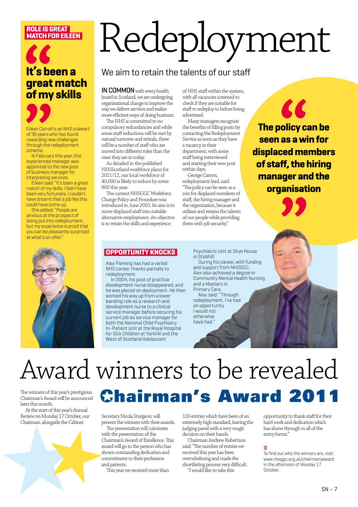### **Role isgreat match for Eileen**

### **It's been a great match of my skills**



Eileen Carroll is an NHS stalwart of 36 years who has found rewarding new challenges through the redeployment scheme.

In February this year, this experienced manager was appointed to the new post of business manager for interpreting services.

Eileen said: "It's been a great match of my skills. I feel I have been very fortunate, I couldn't have dreamt that a job like this could have come up.

She added: "People are anxious at the prospect of being put into redeployment, but my experience is proof that you can be pleasantly surprised at what's on offer."



# Redeployment

### We aim to retain the talents of our staff

IN COMMON with every health board in Scotland, we are undergoing organisational change to improve the way we deliver services and realise more efficient ways of doing business.

The NHS is committed to no compulsory redundancies and while some staff reductions will be met by natural turnover and retirals, there will be a number of staff who are moved into different roles than the ones they are in today.

As detailed in the published NHSScotland workforce plans for 2011/12, our local workforce of 40,000 is likely to reduce by some 800 this year.

The current NHSGGC Workforce Change Policy and Procedure was introduced in June 2010. Its aim is to move displaced staff into suitable alternative employment. An objective is to retain the skills and experience

of NHS staff within the system, with all vacancies screened to check if they are suitable for staff to redeploy to before being advertised.

Many managers recognise the benefits of filling posts by contacting the Redeployment Service as soon as they have a vacancy in their department, with some staff being interviewed and starting their new post within days.

George<sup>Carson</sup>, redeployment lead, said: "The policy can be seen as a win for displaced members of staff, the hiring manager and the organisation, because it utilises and retains the talents of our people while providing them with job security."

KK **The policy can be seen as a win for displaced members of staff, the hiring manager and the organisation**

### **Opportunity knocks**

Alex Fleming has had a varied NHS career, thanks partially to redeployment.

In 2004, his post of practice development nurse disappeared, and he was placed on deployment. He then worked his way up from a lower banding role as a research and development nurse to a clinical service manager before securing his current job as service manager for both the National Child Psychiatry In-Patient Unit at the Royal Hospital for Sick Children at Yorkhill and the West of Scotland Adolescent

Psychiatric Unit at Skye House in Stobhill.

During his career, with funding and support from NHSGGC, Alex also achieved a degree in Community Mental Health Nursing and a Masters in Primary Care.

Alex said: "Through redeployment, I've had an opportunity I would not otherwise have had."

## Award winners to be revealed

The winners of this year's prestigious Chairman's Award will be announced later this month.

At the start of this year's Annual Review on Monday 17 October, our Chairman, alongside the Cabinet



## **Chairman's Award 2011**

Secretary Nicola Sturgeon, will present the winners with their awards.

The presentation will culminate with the presentation of the Chairman's Award of Excellence. This award will go to the person who has shown outstanding dedication and commitment to their profession and patients.

This year we received more than

120 entries which have been of an extremely high standard, leaving the judging panel with a very tough decision on their hands.

Chairman Andrew Robertson said: "The number of entries we received this year has been overwhelming and made the shortlisting process very difficult.

"I would like to take this

opportunity to thank staff for their hard work and dedication which has shone through in all of the entry forms."

To find out who the winners are, visit: www.nhsggc.org.uk/chairmansaward in the afternoon of Monday 17 **October**